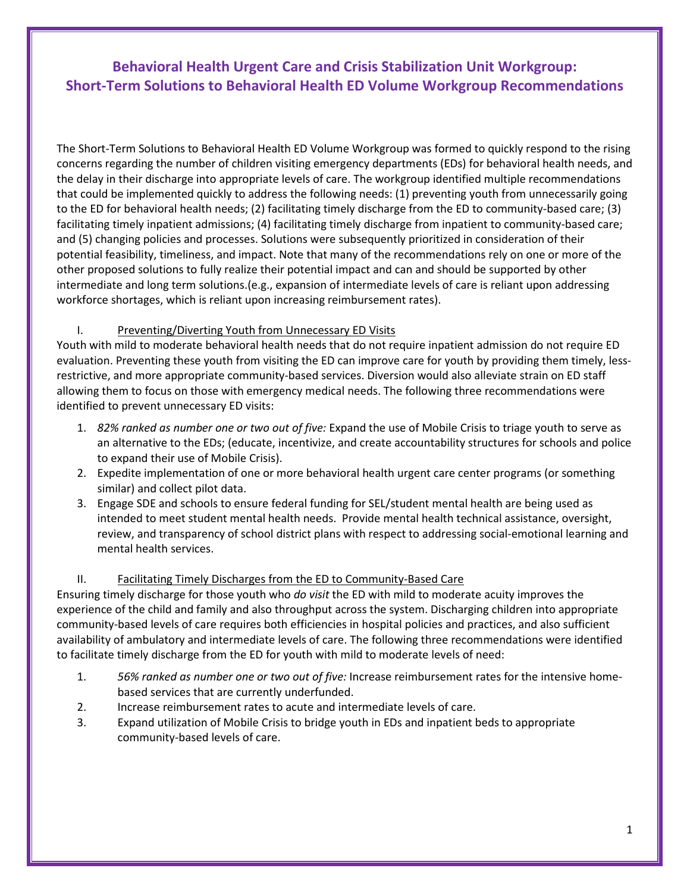# **Behavioral Health Urgent Care and Crisis Stabilization Unit Workgroup: Short-Term Solutions to Behavioral Health ED Volume Workgroup Recommendations**

The Short-Term Solutions to Behavioral Health ED Volume Workgroup was formed to quickly respond to the rising concerns regarding the number of children visiting emergency departments (EDs) for behavioral health needs, and the delay in their discharge into appropriate levels of care. The workgroup identified multiple recommendations that could be implemented quickly to address the following needs: (1) preventing youth from unnecessarily going to the ED for behavioral health needs; (2) facilitating timely discharge from the ED to community-based care; (3) facilitating timely inpatient admissions; (4) facilitating timely discharge from inpatient to community-based care; and (5) changing policies and processes. Solutions were subsequently prioritized in consideration of their potential feasibility, timeliness, and impact. Note that many of the recommendations rely on one or more of the other proposed solutions to fully realize their potential impact and can and should be supported by other intermediate and long term solutions.(e.g., expansion of intermediate levels of care is reliant upon addressing workforce shortages, which is reliant upon increasing reimbursement rates).

### I. Preventing/Diverting Youth from Unnecessary ED Visits

Youth with mild to moderate behavioral health needs that do not require inpatient admission do not require ED evaluation. Preventing these youth from visiting the ED can improve care for youth by providing them timely, lessrestrictive, and more appropriate community-based services. Diversion would also alleviate strain on ED staff allowing them to focus on those with emergency medical needs. The following three recommendations were identified to prevent unnecessary ED visits:

- 1. *82% ranked as number one or two out of five:* Expand the use of Mobile Crisis to triage youth to serve as an alternative to the EDs; (educate, incentivize, and create accountability structures for schools and police to expand their use of Mobile Crisis).
- 2. Expedite implementation of one or more behavioral health urgent care center programs (or something similar) and collect pilot data.
- 3. Engage SDE and schools to ensure federal funding for SEL/student mental health are being used as intended to meet student mental health needs. Provide mental health technical assistance, oversight, review, and transparency of school district plans with respect to addressing social-emotional learning and mental health services.

### II. Facilitating Timely Discharges from the ED to Community-Based Care

Ensuring timely discharge for those youth who *do visit* the ED with mild to moderate acuity improves the experience of the child and family and also throughput across the system. Discharging children into appropriate community-based levels of care requires both efficiencies in hospital policies and practices, and also sufficient availability of ambulatory and intermediate levels of care. The following three recommendations were identified to facilitate timely discharge from the ED for youth with mild to moderate levels of need:

- 1. *56% ranked as number one or two out of five:* Increase reimbursement rates for the intensive homebased services that are currently underfunded.
- 2. Increase reimbursement rates to acute and intermediate levels of care.
- 3. Expand utilization of Mobile Crisis to bridge youth in EDs and inpatient beds to appropriate community-based levels of care.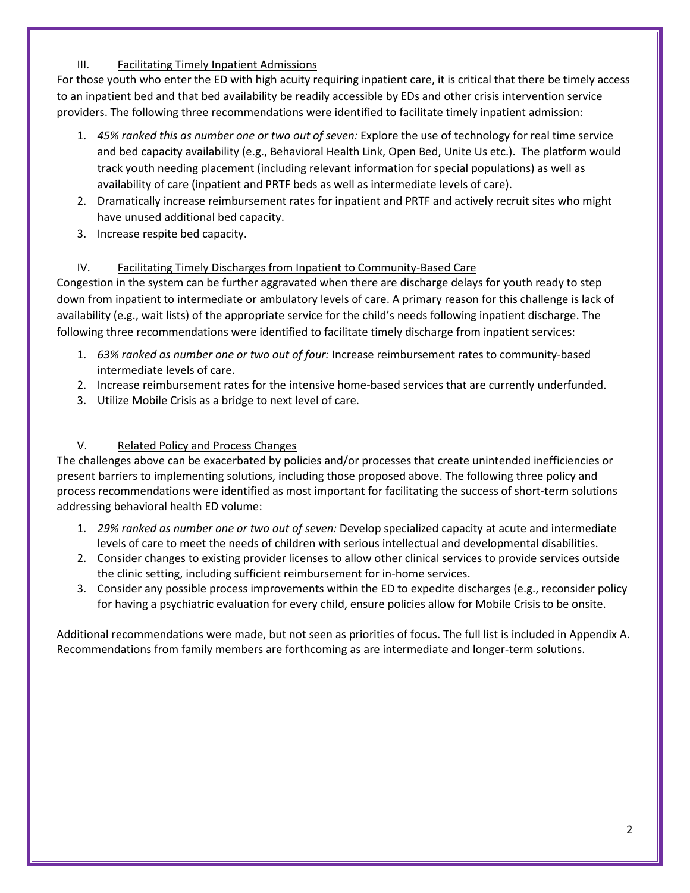## III. Facilitating Timely Inpatient Admissions

For those youth who enter the ED with high acuity requiring inpatient care, it is critical that there be timely access to an inpatient bed and that bed availability be readily accessible by EDs and other crisis intervention service providers. The following three recommendations were identified to facilitate timely inpatient admission:

- 1. *45% ranked this as number one or two out of seven:* Explore the use of technology for real time service and bed capacity availability (e.g., Behavioral Health Link, Open Bed, Unite Us etc.). The platform would track youth needing placement (including relevant information for special populations) as well as availability of care (inpatient and PRTF beds as well as intermediate levels of care).
- 2. Dramatically increase reimbursement rates for inpatient and PRTF and actively recruit sites who might have unused additional bed capacity.
- 3. Increase respite bed capacity.

# IV. Facilitating Timely Discharges from Inpatient to Community-Based Care

Congestion in the system can be further aggravated when there are discharge delays for youth ready to step down from inpatient to intermediate or ambulatory levels of care. A primary reason for this challenge is lack of availability (e.g., wait lists) of the appropriate service for the child's needs following inpatient discharge. The following three recommendations were identified to facilitate timely discharge from inpatient services:

- 1. *63% ranked as number one or two out of four:* Increase reimbursement rates to community-based intermediate levels of care.
- 2. Increase reimbursement rates for the intensive home-based services that are currently underfunded.
- 3. Utilize Mobile Crisis as a bridge to next level of care.

## V. Related Policy and Process Changes

The challenges above can be exacerbated by policies and/or processes that create unintended inefficiencies or present barriers to implementing solutions, including those proposed above. The following three policy and process recommendations were identified as most important for facilitating the success of short-term solutions addressing behavioral health ED volume:

- 1. *29% ranked as number one or two out of seven:* Develop specialized capacity at acute and intermediate levels of care to meet the needs of children with serious intellectual and developmental disabilities.
- 2. Consider changes to existing provider licenses to allow other clinical services to provide services outside the clinic setting, including sufficient reimbursement for in-home services.
- 3. Consider any possible process improvements within the ED to expedite discharges (e.g., reconsider policy for having a psychiatric evaluation for every child, ensure policies allow for Mobile Crisis to be onsite.

Additional recommendations were made, but not seen as priorities of focus. The full list is included in Appendix A. Recommendations from family members are forthcoming as are intermediate and longer-term solutions.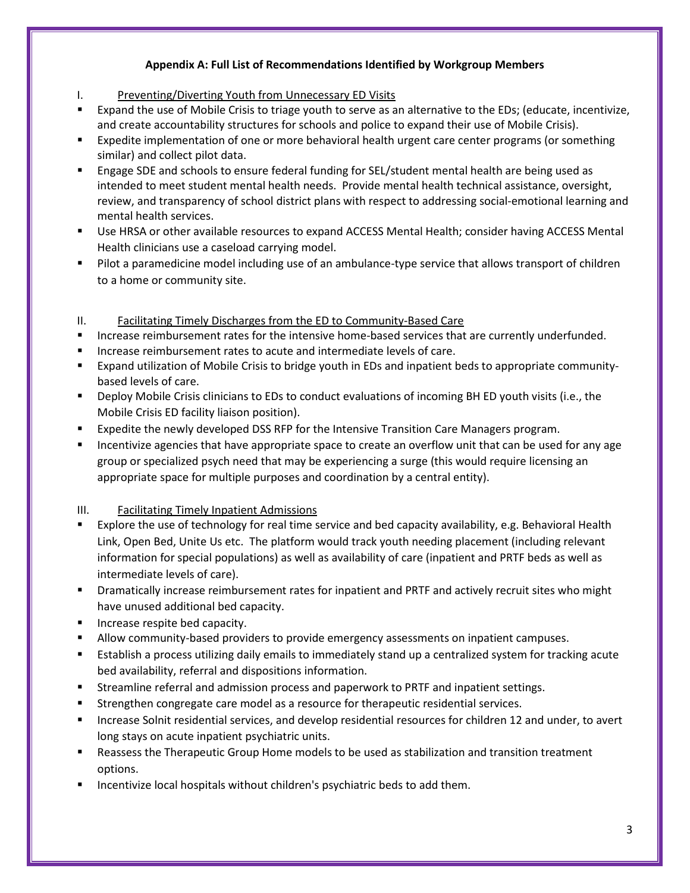# **Appendix A: Full List of Recommendations Identified by Workgroup Members**

- I. Preventing/Diverting Youth from Unnecessary ED Visits
- Expand the use of Mobile Crisis to triage youth to serve as an alternative to the EDs; (educate, incentivize, and create accountability structures for schools and police to expand their use of Mobile Crisis).
- Expedite implementation of one or more behavioral health urgent care center programs (or something similar) and collect pilot data.
- Engage SDE and schools to ensure federal funding for SEL/student mental health are being used as intended to meet student mental health needs. Provide mental health technical assistance, oversight, review, and transparency of school district plans with respect to addressing social-emotional learning and mental health services.
- Use HRSA or other available resources to expand ACCESS Mental Health; consider having ACCESS Mental Health clinicians use a caseload carrying model.
- Pilot a paramedicine model including use of an ambulance-type service that allows transport of children to a home or community site.
- II. Facilitating Timely Discharges from the ED to Community-Based Care
- Increase reimbursement rates for the intensive home-based services that are currently underfunded.
- Increase reimbursement rates to acute and intermediate levels of care.
- Expand utilization of Mobile Crisis to bridge youth in EDs and inpatient beds to appropriate communitybased levels of care.
- Deploy Mobile Crisis clinicians to EDs to conduct evaluations of incoming BH ED youth visits (i.e., the Mobile Crisis ED facility liaison position).
- Expedite the newly developed DSS RFP for the Intensive Transition Care Managers program.
- **Incentivize agencies that have appropriate space to create an overflow unit that can be used for any age** group or specialized psych need that may be experiencing a surge (this would require licensing an appropriate space for multiple purposes and coordination by a central entity).

### III. Facilitating Timely Inpatient Admissions

- **Explore the use of technology for real time service and bed capacity availability, e.g. Behavioral Health** Link, Open Bed, Unite Us etc. The platform would track youth needing placement (including relevant information for special populations) as well as availability of care (inpatient and PRTF beds as well as intermediate levels of care).
- Dramatically increase reimbursement rates for inpatient and PRTF and actively recruit sites who might have unused additional bed capacity.
- Increase respite bed capacity.
- **Allow community-based providers to provide emergency assessments on inpatient campuses.**
- Establish a process utilizing daily emails to immediately stand up a centralized system for tracking acute bed availability, referral and dispositions information.
- Streamline referral and admission process and paperwork to PRTF and inpatient settings.
- Strengthen congregate care model as a resource for therapeutic residential services.
- Increase Solnit residential services, and develop residential resources for children 12 and under, to avert long stays on acute inpatient psychiatric units.
- Reassess the Therapeutic Group Home models to be used as stabilization and transition treatment options.
- Incentivize local hospitals without children's psychiatric beds to add them.